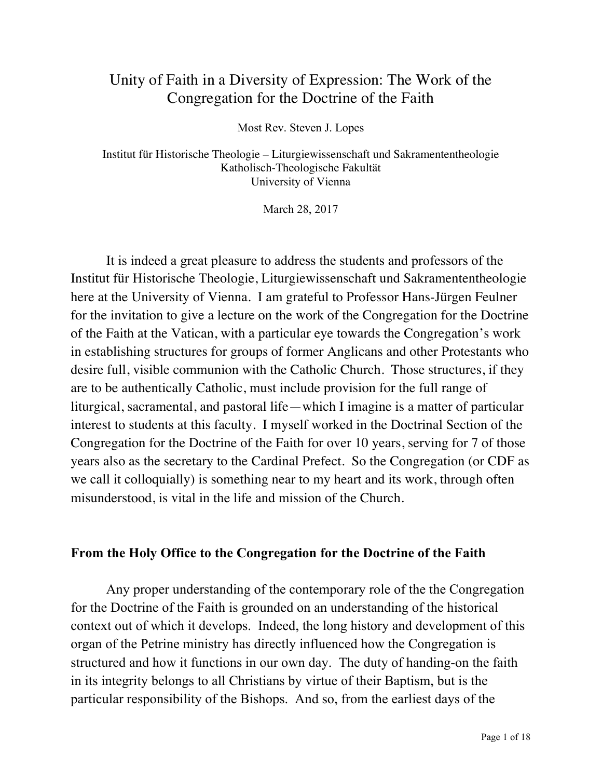# Unity of Faith in a Diversity of Expression: The Work of the Congregation for the Doctrine of the Faith

Most Rev. Steven J. Lopes

Institut für Historische Theologie – Liturgiewissenschaft und Sakramententheologie Katholisch-Theologische Fakultät University of Vienna

March 28, 2017

It is indeed a great pleasure to address the students and professors of the Institut für Historische Theologie, Liturgiewissenschaft und Sakramententheologie here at the University of Vienna. I am grateful to Professor Hans-Jürgen Feulner for the invitation to give a lecture on the work of the Congregation for the Doctrine of the Faith at the Vatican, with a particular eye towards the Congregation's work in establishing structures for groups of former Anglicans and other Protestants who desire full, visible communion with the Catholic Church. Those structures, if they are to be authentically Catholic, must include provision for the full range of liturgical, sacramental, and pastoral life—which I imagine is a matter of particular interest to students at this faculty. I myself worked in the Doctrinal Section of the Congregation for the Doctrine of the Faith for over 10 years, serving for 7 of those years also as the secretary to the Cardinal Prefect. So the Congregation (or CDF as we call it colloquially) is something near to my heart and its work, through often misunderstood, is vital in the life and mission of the Church.

#### **From the Holy Office to the Congregation for the Doctrine of the Faith**

Any proper understanding of the contemporary role of the the Congregation for the Doctrine of the Faith is grounded on an understanding of the historical context out of which it develops. Indeed, the long history and development of this organ of the Petrine ministry has directly influenced how the Congregation is structured and how it functions in our own day. The duty of handing-on the faith in its integrity belongs to all Christians by virtue of their Baptism, but is the particular responsibility of the Bishops. And so, from the earliest days of the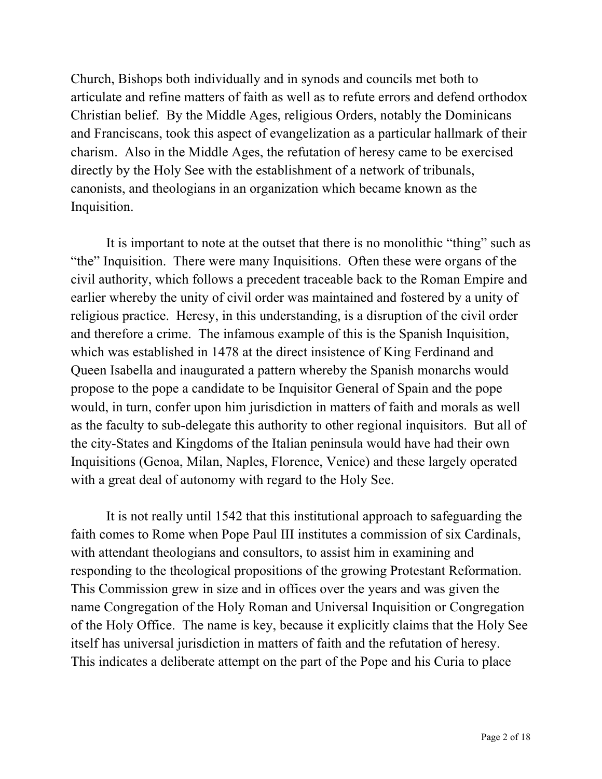Church, Bishops both individually and in synods and councils met both to articulate and refine matters of faith as well as to refute errors and defend orthodox Christian belief. By the Middle Ages, religious Orders, notably the Dominicans and Franciscans, took this aspect of evangelization as a particular hallmark of their charism. Also in the Middle Ages, the refutation of heresy came to be exercised directly by the Holy See with the establishment of a network of tribunals, canonists, and theologians in an organization which became known as the Inquisition.

It is important to note at the outset that there is no monolithic "thing" such as "the" Inquisition. There were many Inquisitions. Often these were organs of the civil authority, which follows a precedent traceable back to the Roman Empire and earlier whereby the unity of civil order was maintained and fostered by a unity of religious practice. Heresy, in this understanding, is a disruption of the civil order and therefore a crime. The infamous example of this is the Spanish Inquisition, which was established in 1478 at the direct insistence of King Ferdinand and Queen Isabella and inaugurated a pattern whereby the Spanish monarchs would propose to the pope a candidate to be Inquisitor General of Spain and the pope would, in turn, confer upon him jurisdiction in matters of faith and morals as well as the faculty to sub-delegate this authority to other regional inquisitors. But all of the city-States and Kingdoms of the Italian peninsula would have had their own Inquisitions (Genoa, Milan, Naples, Florence, Venice) and these largely operated with a great deal of autonomy with regard to the Holy See.

It is not really until 1542 that this institutional approach to safeguarding the faith comes to Rome when Pope Paul III institutes a commission of six Cardinals, with attendant theologians and consultors, to assist him in examining and responding to the theological propositions of the growing Protestant Reformation. This Commission grew in size and in offices over the years and was given the name Congregation of the Holy Roman and Universal Inquisition or Congregation of the Holy Office. The name is key, because it explicitly claims that the Holy See itself has universal jurisdiction in matters of faith and the refutation of heresy. This indicates a deliberate attempt on the part of the Pope and his Curia to place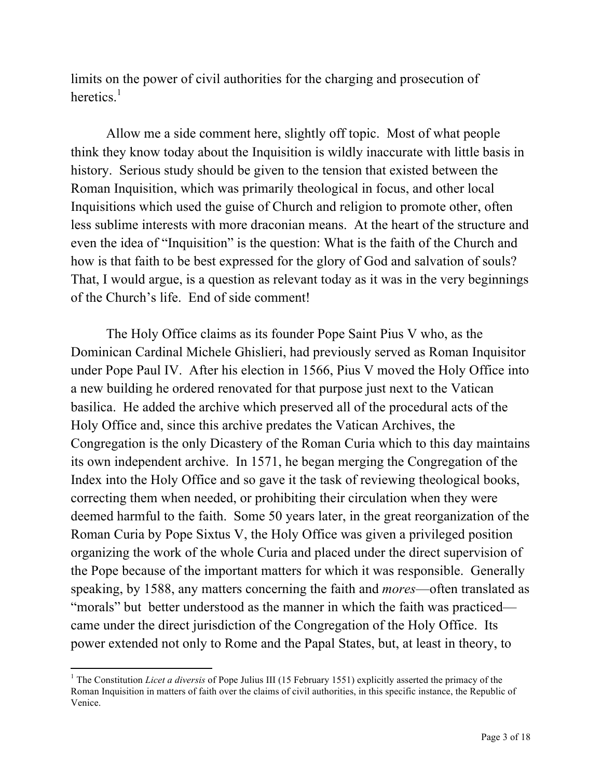limits on the power of civil authorities for the charging and prosecution of heretics. $<sup>1</sup>$ </sup>

Allow me a side comment here, slightly off topic. Most of what people think they know today about the Inquisition is wildly inaccurate with little basis in history. Serious study should be given to the tension that existed between the Roman Inquisition, which was primarily theological in focus, and other local Inquisitions which used the guise of Church and religion to promote other, often less sublime interests with more draconian means. At the heart of the structure and even the idea of "Inquisition" is the question: What is the faith of the Church and how is that faith to be best expressed for the glory of God and salvation of souls? That, I would argue, is a question as relevant today as it was in the very beginnings of the Church's life. End of side comment!

The Holy Office claims as its founder Pope Saint Pius V who, as the Dominican Cardinal Michele Ghislieri, had previously served as Roman Inquisitor under Pope Paul IV. After his election in 1566, Pius V moved the Holy Office into a new building he ordered renovated for that purpose just next to the Vatican basilica. He added the archive which preserved all of the procedural acts of the Holy Office and, since this archive predates the Vatican Archives, the Congregation is the only Dicastery of the Roman Curia which to this day maintains its own independent archive. In 1571, he began merging the Congregation of the Index into the Holy Office and so gave it the task of reviewing theological books, correcting them when needed, or prohibiting their circulation when they were deemed harmful to the faith. Some 50 years later, in the great reorganization of the Roman Curia by Pope Sixtus V, the Holy Office was given a privileged position organizing the work of the whole Curia and placed under the direct supervision of the Pope because of the important matters for which it was responsible. Generally speaking, by 1588, any matters concerning the faith and *mores*—often translated as "morals" but better understood as the manner in which the faith was practiced came under the direct jurisdiction of the Congregation of the Holy Office. Its power extended not only to Rome and the Papal States, but, at least in theory, to

<sup>&</sup>lt;sup>1</sup> The Constitution *Licet a diversis* of Pope Julius III (15 February 1551) explicitly asserted the primacy of the Roman Inquisition in matters of faith over the claims of civil authorities, in this specific instance, the Republic of Venice.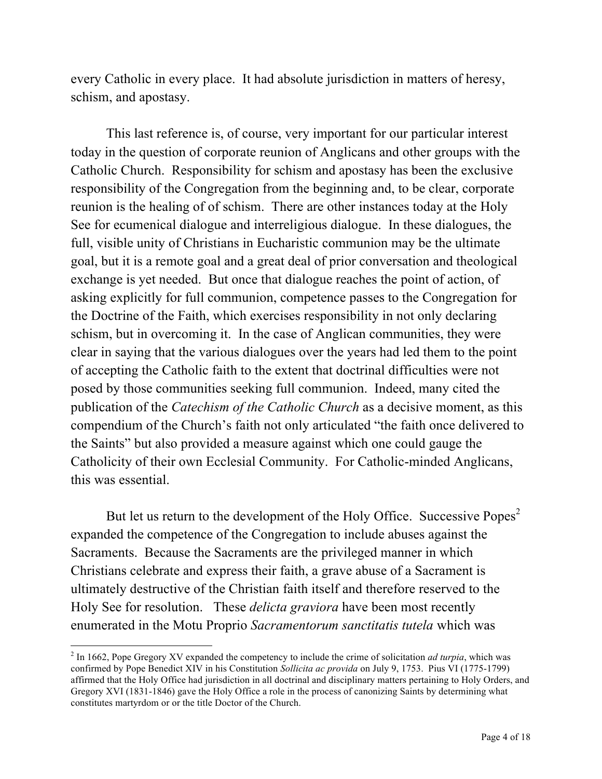every Catholic in every place. It had absolute jurisdiction in matters of heresy, schism, and apostasy.

This last reference is, of course, very important for our particular interest today in the question of corporate reunion of Anglicans and other groups with the Catholic Church. Responsibility for schism and apostasy has been the exclusive responsibility of the Congregation from the beginning and, to be clear, corporate reunion is the healing of of schism. There are other instances today at the Holy See for ecumenical dialogue and interreligious dialogue. In these dialogues, the full, visible unity of Christians in Eucharistic communion may be the ultimate goal, but it is a remote goal and a great deal of prior conversation and theological exchange is yet needed. But once that dialogue reaches the point of action, of asking explicitly for full communion, competence passes to the Congregation for the Doctrine of the Faith, which exercises responsibility in not only declaring schism, but in overcoming it. In the case of Anglican communities, they were clear in saying that the various dialogues over the years had led them to the point of accepting the Catholic faith to the extent that doctrinal difficulties were not posed by those communities seeking full communion. Indeed, many cited the publication of the *Catechism of the Catholic Church* as a decisive moment, as this compendium of the Church's faith not only articulated "the faith once delivered to the Saints" but also provided a measure against which one could gauge the Catholicity of their own Ecclesial Community. For Catholic-minded Anglicans, this was essential.

But let us return to the development of the Holy Office. Successive Popes<sup>2</sup> expanded the competence of the Congregation to include abuses against the Sacraments. Because the Sacraments are the privileged manner in which Christians celebrate and express their faith, a grave abuse of a Sacrament is ultimately destructive of the Christian faith itself and therefore reserved to the Holy See for resolution. These *delicta graviora* have been most recently enumerated in the Motu Proprio *Sacramentorum sanctitatis tutela* which was

 <sup>2</sup> In 1662, Pope Gregory XV expanded the competency to include the crime of solicitation *ad turpia*, which was confirmed by Pope Benedict XIV in his Constitution *Sollicita ac provida* on July 9, 1753. Pius VI (1775-1799) affirmed that the Holy Office had jurisdiction in all doctrinal and disciplinary matters pertaining to Holy Orders, and Gregory XVI (1831-1846) gave the Holy Office a role in the process of canonizing Saints by determining what constitutes martyrdom or or the title Doctor of the Church.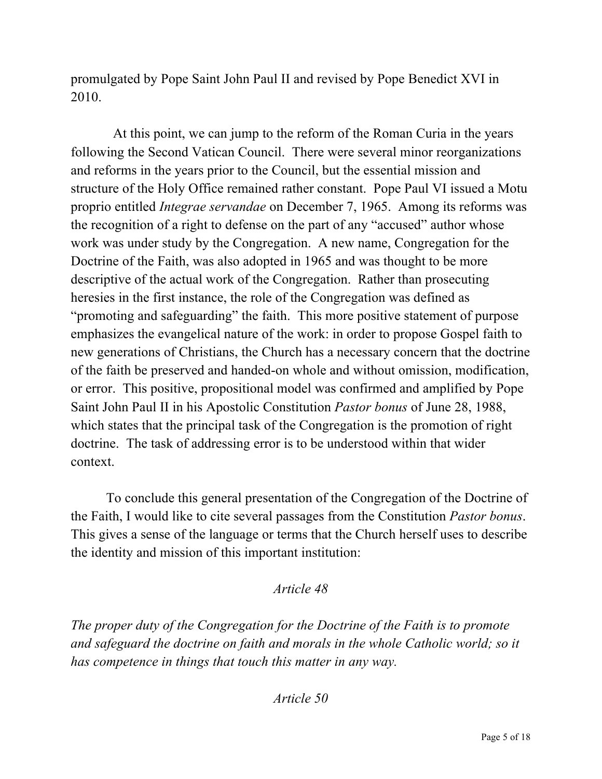promulgated by Pope Saint John Paul II and revised by Pope Benedict XVI in 2010.

 At this point, we can jump to the reform of the Roman Curia in the years following the Second Vatican Council. There were several minor reorganizations and reforms in the years prior to the Council, but the essential mission and structure of the Holy Office remained rather constant. Pope Paul VI issued a Motu proprio entitled *Integrae servandae* on December 7, 1965. Among its reforms was the recognition of a right to defense on the part of any "accused" author whose work was under study by the Congregation. A new name, Congregation for the Doctrine of the Faith, was also adopted in 1965 and was thought to be more descriptive of the actual work of the Congregation. Rather than prosecuting heresies in the first instance, the role of the Congregation was defined as "promoting and safeguarding" the faith. This more positive statement of purpose emphasizes the evangelical nature of the work: in order to propose Gospel faith to new generations of Christians, the Church has a necessary concern that the doctrine of the faith be preserved and handed-on whole and without omission, modification, or error. This positive, propositional model was confirmed and amplified by Pope Saint John Paul II in his Apostolic Constitution *Pastor bonus* of June 28, 1988, which states that the principal task of the Congregation is the promotion of right doctrine. The task of addressing error is to be understood within that wider context.

To conclude this general presentation of the Congregation of the Doctrine of the Faith, I would like to cite several passages from the Constitution *Pastor bonus*. This gives a sense of the language or terms that the Church herself uses to describe the identity and mission of this important institution:

## *Article 48*

*The proper duty of the Congregation for the Doctrine of the Faith is to promote and safeguard the doctrine on faith and morals in the whole Catholic world; so it has competence in things that touch this matter in any way.* 

#### *Article 50*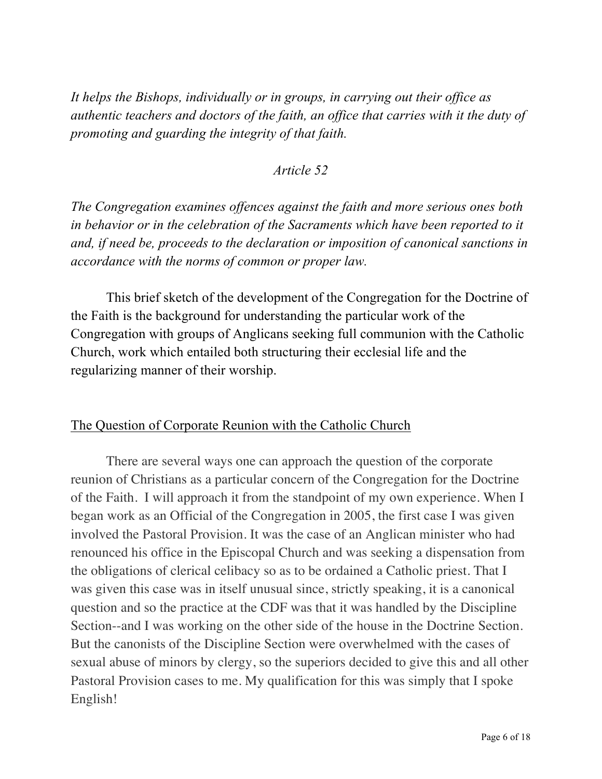*It helps the Bishops, individually or in groups, in carrying out their office as authentic teachers and doctors of the faith, an office that carries with it the duty of promoting and guarding the integrity of that faith.*

### *Article 52*

*The Congregation examines offences against the faith and more serious ones both in behavior or in the celebration of the Sacraments which have been reported to it and, if need be, proceeds to the declaration or imposition of canonical sanctions in accordance with the norms of common or proper law.* 

This brief sketch of the development of the Congregation for the Doctrine of the Faith is the background for understanding the particular work of the Congregation with groups of Anglicans seeking full communion with the Catholic Church, work which entailed both structuring their ecclesial life and the regularizing manner of their worship.

#### The Question of Corporate Reunion with the Catholic Church

There are several ways one can approach the question of the corporate reunion of Christians as a particular concern of the Congregation for the Doctrine of the Faith. I will approach it from the standpoint of my own experience. When I began work as an Official of the Congregation in 2005, the first case I was given involved the Pastoral Provision. It was the case of an Anglican minister who had renounced his office in the Episcopal Church and was seeking a dispensation from the obligations of clerical celibacy so as to be ordained a Catholic priest. That I was given this case was in itself unusual since, strictly speaking, it is a canonical question and so the practice at the CDF was that it was handled by the Discipline Section--and I was working on the other side of the house in the Doctrine Section. But the canonists of the Discipline Section were overwhelmed with the cases of sexual abuse of minors by clergy, so the superiors decided to give this and all other Pastoral Provision cases to me. My qualification for this was simply that I spoke English!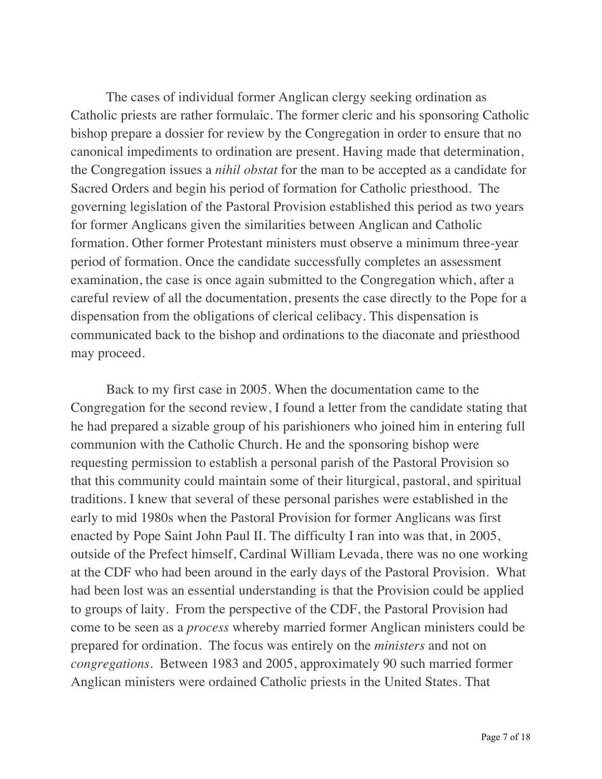The cases of individual former Anglican clergy seeking ordination as Catholic priests are rather formulaic. The former cleric and his sponsoring Catholic bishop prepare a dossier for review by the Congregation in order to ensure that no canonical impediments to ordination are present. Having made that determination, the Congregation issues a *nihil obstat* for the man to be accepted as a candidate for Sacred Orders and begin his period of formation for Catholic priesthood. The governing legislation of the Pastoral Provision established this period as two years for former Anglicans given the similarities between Anglican and Catholic formation. Other former Protestant ministers must observe a minimum three-year period of formation. Once the candidate successfully completes an assessment examination, the case is once again submitted to the Congregation which, after a careful review of all the documentation, presents the case directly to the Pope for a dispensation from the obligations of clerical celibacy. This dispensation is communicated back to the bishop and ordinations to the diaconate and priesthood may proceed.

Back to my first case in 2005. When the documentation came to the Congregation for the second review, I found a letter from the candidate stating that he had prepared a sizable group of his parishioners who joined him in entering full communion with the Catholic Church. He and the sponsoring bishop were requesting permission to establish a personal parish of the Pastoral Provision so that this community could maintain some of their liturgical, pastoral, and spiritual traditions. I knew that several of these personal parishes were established in the early to mid 1980s when the Pastoral Provision for former Anglicans was first enacted by Pope Saint John Paul II. The difficulty I ran into was that, in 2005, outside of the Prefect himself, Cardinal William Levada, there was no one working at the CDF who had been around in the early days of the Pastoral Provision. What had been lost was an essential understanding is that the Provision could be applied to groups of laity. From the perspective of the CDF, the Pastoral Provision had come to be seen as a *process* whereby married former Anglican ministers could be prepared for ordination. The focus was entirely on the *ministers* and not on *congregations*. Between 1983 and 2005, approximately 90 such married former Anglican ministers were ordained Catholic priests in the United States. That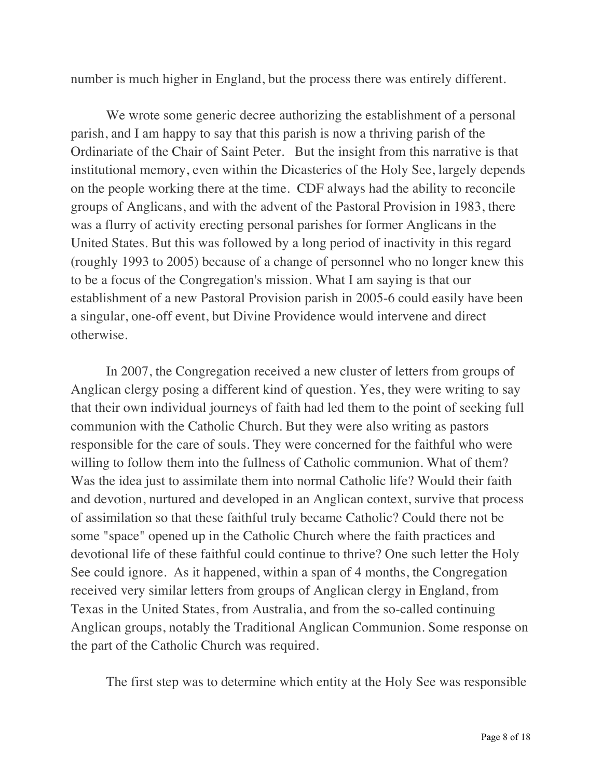number is much higher in England, but the process there was entirely different.

We wrote some generic decree authorizing the establishment of a personal parish, and I am happy to say that this parish is now a thriving parish of the Ordinariate of the Chair of Saint Peter. But the insight from this narrative is that institutional memory, even within the Dicasteries of the Holy See, largely depends on the people working there at the time. CDF always had the ability to reconcile groups of Anglicans, and with the advent of the Pastoral Provision in 1983, there was a flurry of activity erecting personal parishes for former Anglicans in the United States. But this was followed by a long period of inactivity in this regard (roughly 1993 to 2005) because of a change of personnel who no longer knew this to be a focus of the Congregation's mission. What I am saying is that our establishment of a new Pastoral Provision parish in 2005-6 could easily have been a singular, one-off event, but Divine Providence would intervene and direct otherwise.

In 2007, the Congregation received a new cluster of letters from groups of Anglican clergy posing a different kind of question. Yes, they were writing to say that their own individual journeys of faith had led them to the point of seeking full communion with the Catholic Church. But they were also writing as pastors responsible for the care of souls. They were concerned for the faithful who were willing to follow them into the fullness of Catholic communion. What of them? Was the idea just to assimilate them into normal Catholic life? Would their faith and devotion, nurtured and developed in an Anglican context, survive that process of assimilation so that these faithful truly became Catholic? Could there not be some "space" opened up in the Catholic Church where the faith practices and devotional life of these faithful could continue to thrive? One such letter the Holy See could ignore. As it happened, within a span of 4 months, the Congregation received very similar letters from groups of Anglican clergy in England, from Texas in the United States, from Australia, and from the so-called continuing Anglican groups, notably the Traditional Anglican Communion. Some response on the part of the Catholic Church was required.

The first step was to determine which entity at the Holy See was responsible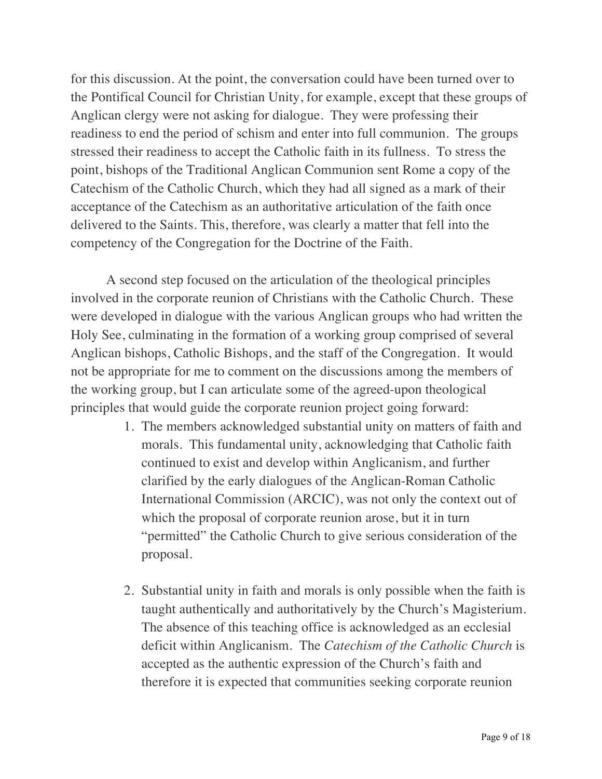for this discussion. At the point, the conversation could have been turned over to the Pontifical Council for Christian Unity, for example, except that these groups of Anglican clergy were not asking for dialogue. They were professing their readiness to end the period of schism and enter into full communion. The groups stressed their readiness to accept the Catholic faith in its fullness. To stress the point, bishops of the Traditional Anglican Communion sent Rome a copy of the Catechism of the Catholic Church, which they had all signed as a mark of their acceptance of the Catechism as an authoritative articulation of the faith once delivered to the Saints. This, therefore, was clearly a matter that fell into the competency of the Congregation for the Doctrine of the Faith.

A second step focused on the articulation of the theological principles involved in the corporate reunion of Christians with the Catholic Church. These were developed in dialogue with the various Anglican groups who had written the Holy See, culminating in the formation of a working group comprised of several Anglican bishops, Catholic Bishops, and the staff of the Congregation. It would not be appropriate for me to comment on the discussions among the members of the working group, but I can articulate some of the agreed-upon theological principles that would guide the corporate reunion project going forward:

- 1. The members acknowledged substantial unity on matters of faith and morals. This fundamental unity, acknowledging that Catholic faith continued to exist and develop within Anglicanism, and further clarified by the early dialogues of the Anglican-Roman Catholic International Commission (ARCIC), was not only the context out of which the proposal of corporate reunion arose, but it in turn "permitted" the Catholic Church to give serious consideration of the proposal.
- 2. Substantial unity in faith and morals is only possible when the faith is taught authentically and authoritatively by the Church's Magisterium. The absence of this teaching office is acknowledged as an ecclesial deficit within Anglicanism. The *Catechism of the Catholic Church* is accepted as the authentic expression of the Church's faith and therefore it is expected that communities seeking corporate reunion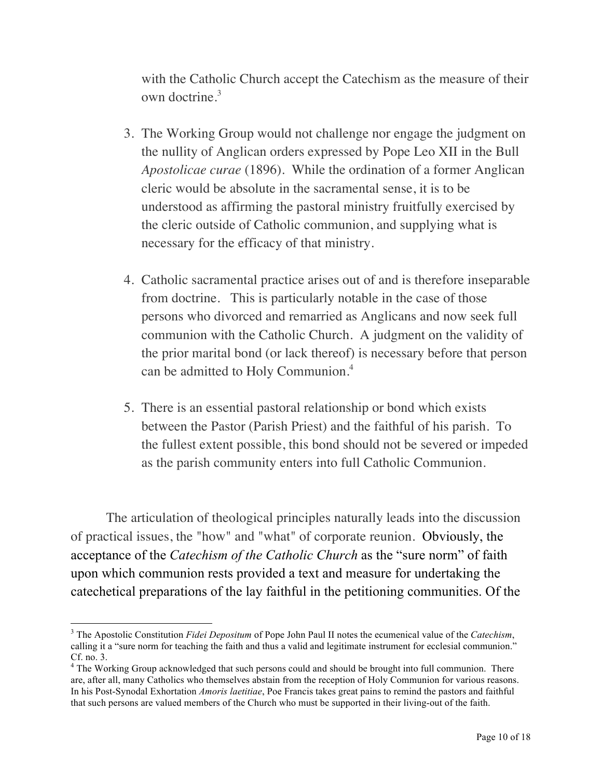with the Catholic Church accept the Catechism as the measure of their own doctrine.<sup>3</sup>

- 3. The Working Group would not challenge nor engage the judgment on the nullity of Anglican orders expressed by Pope Leo XII in the Bull *Apostolicae curae* (1896). While the ordination of a former Anglican cleric would be absolute in the sacramental sense, it is to be understood as affirming the pastoral ministry fruitfully exercised by the cleric outside of Catholic communion, and supplying what is necessary for the efficacy of that ministry.
- 4. Catholic sacramental practice arises out of and is therefore inseparable from doctrine. This is particularly notable in the case of those persons who divorced and remarried as Anglicans and now seek full communion with the Catholic Church. A judgment on the validity of the prior marital bond (or lack thereof) is necessary before that person can be admitted to Holy Communion.<sup>4</sup>
- 5. There is an essential pastoral relationship or bond which exists between the Pastor (Parish Priest) and the faithful of his parish. To the fullest extent possible, this bond should not be severed or impeded as the parish community enters into full Catholic Communion.

The articulation of theological principles naturally leads into the discussion of practical issues, the "how" and "what" of corporate reunion. Obviously, the acceptance of the *Catechism of the Catholic Church* as the "sure norm" of faith upon which communion rests provided a text and measure for undertaking the catechetical preparations of the lay faithful in the petitioning communities. Of the

 <sup>3</sup> The Apostolic Constitution *Fidei Depositum* of Pope John Paul II notes the ecumenical value of the *Catechism*, calling it a "sure norm for teaching the faith and thus a valid and legitimate instrument for ecclesial communion." Cf. no. 3.

<sup>&</sup>lt;sup>4</sup> The Working Group acknowledged that such persons could and should be brought into full communion. There are, after all, many Catholics who themselves abstain from the reception of Holy Communion for various reasons. In his Post-Synodal Exhortation *Amoris laetitiae*, Poe Francis takes great pains to remind the pastors and faithful that such persons are valued members of the Church who must be supported in their living-out of the faith.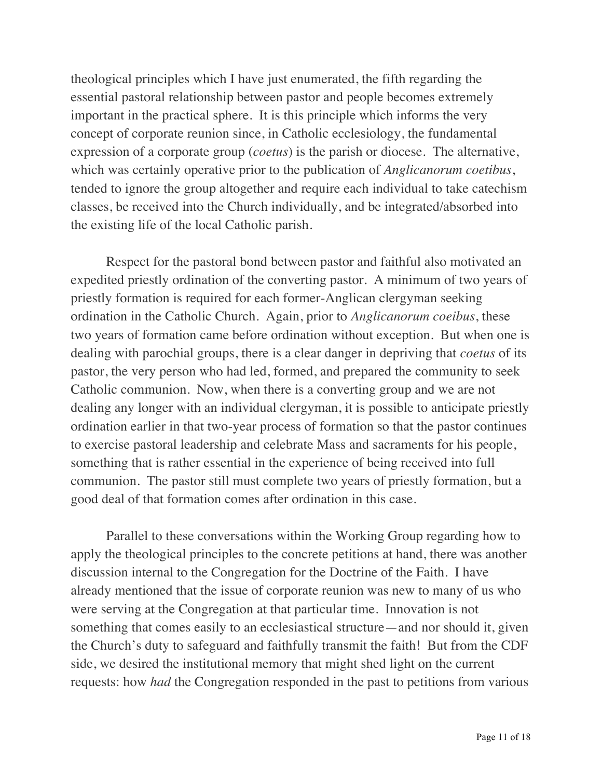theological principles which I have just enumerated, the fifth regarding the essential pastoral relationship between pastor and people becomes extremely important in the practical sphere. It is this principle which informs the very concept of corporate reunion since, in Catholic ecclesiology, the fundamental expression of a corporate group (*coetus*) is the parish or diocese. The alternative, which was certainly operative prior to the publication of *Anglicanorum coetibus*, tended to ignore the group altogether and require each individual to take catechism classes, be received into the Church individually, and be integrated/absorbed into the existing life of the local Catholic parish.

Respect for the pastoral bond between pastor and faithful also motivated an expedited priestly ordination of the converting pastor. A minimum of two years of priestly formation is required for each former-Anglican clergyman seeking ordination in the Catholic Church. Again, prior to *Anglicanorum coeibus*, these two years of formation came before ordination without exception. But when one is dealing with parochial groups, there is a clear danger in depriving that *coetus* of its pastor, the very person who had led, formed, and prepared the community to seek Catholic communion. Now, when there is a converting group and we are not dealing any longer with an individual clergyman, it is possible to anticipate priestly ordination earlier in that two-year process of formation so that the pastor continues to exercise pastoral leadership and celebrate Mass and sacraments for his people, something that is rather essential in the experience of being received into full communion. The pastor still must complete two years of priestly formation, but a good deal of that formation comes after ordination in this case.

Parallel to these conversations within the Working Group regarding how to apply the theological principles to the concrete petitions at hand, there was another discussion internal to the Congregation for the Doctrine of the Faith. I have already mentioned that the issue of corporate reunion was new to many of us who were serving at the Congregation at that particular time. Innovation is not something that comes easily to an ecclesiastical structure—and nor should it, given the Church's duty to safeguard and faithfully transmit the faith! But from the CDF side, we desired the institutional memory that might shed light on the current requests: how *had* the Congregation responded in the past to petitions from various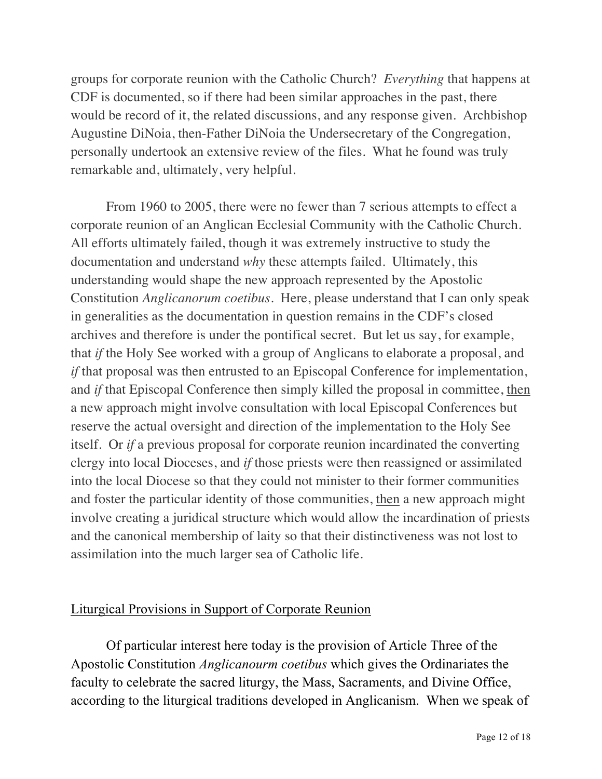groups for corporate reunion with the Catholic Church? *Everything* that happens at CDF is documented, so if there had been similar approaches in the past, there would be record of it, the related discussions, and any response given. Archbishop Augustine DiNoia, then-Father DiNoia the Undersecretary of the Congregation, personally undertook an extensive review of the files. What he found was truly remarkable and, ultimately, very helpful.

From 1960 to 2005, there were no fewer than 7 serious attempts to effect a corporate reunion of an Anglican Ecclesial Community with the Catholic Church. All efforts ultimately failed, though it was extremely instructive to study the documentation and understand *why* these attempts failed. Ultimately, this understanding would shape the new approach represented by the Apostolic Constitution *Anglicanorum coetibus*. Here, please understand that I can only speak in generalities as the documentation in question remains in the CDF's closed archives and therefore is under the pontifical secret. But let us say, for example, that *if* the Holy See worked with a group of Anglicans to elaborate a proposal, and *if* that proposal was then entrusted to an Episcopal Conference for implementation, and *if* that Episcopal Conference then simply killed the proposal in committee, then a new approach might involve consultation with local Episcopal Conferences but reserve the actual oversight and direction of the implementation to the Holy See itself. Or *if* a previous proposal for corporate reunion incardinated the converting clergy into local Dioceses, and *if* those priests were then reassigned or assimilated into the local Diocese so that they could not minister to their former communities and foster the particular identity of those communities, then a new approach might involve creating a juridical structure which would allow the incardination of priests and the canonical membership of laity so that their distinctiveness was not lost to assimilation into the much larger sea of Catholic life.

# Liturgical Provisions in Support of Corporate Reunion

Of particular interest here today is the provision of Article Three of the Apostolic Constitution *Anglicanourm coetibus* which gives the Ordinariates the faculty to celebrate the sacred liturgy, the Mass, Sacraments, and Divine Office, according to the liturgical traditions developed in Anglicanism. When we speak of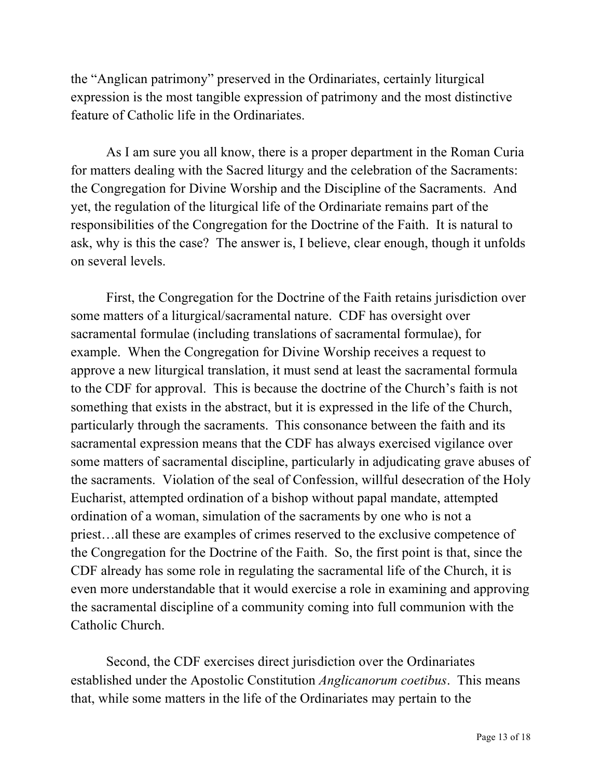the "Anglican patrimony" preserved in the Ordinariates, certainly liturgical expression is the most tangible expression of patrimony and the most distinctive feature of Catholic life in the Ordinariates.

As I am sure you all know, there is a proper department in the Roman Curia for matters dealing with the Sacred liturgy and the celebration of the Sacraments: the Congregation for Divine Worship and the Discipline of the Sacraments. And yet, the regulation of the liturgical life of the Ordinariate remains part of the responsibilities of the Congregation for the Doctrine of the Faith. It is natural to ask, why is this the case? The answer is, I believe, clear enough, though it unfolds on several levels.

First, the Congregation for the Doctrine of the Faith retains jurisdiction over some matters of a liturgical/sacramental nature. CDF has oversight over sacramental formulae (including translations of sacramental formulae), for example. When the Congregation for Divine Worship receives a request to approve a new liturgical translation, it must send at least the sacramental formula to the CDF for approval. This is because the doctrine of the Church's faith is not something that exists in the abstract, but it is expressed in the life of the Church, particularly through the sacraments. This consonance between the faith and its sacramental expression means that the CDF has always exercised vigilance over some matters of sacramental discipline, particularly in adjudicating grave abuses of the sacraments. Violation of the seal of Confession, willful desecration of the Holy Eucharist, attempted ordination of a bishop without papal mandate, attempted ordination of a woman, simulation of the sacraments by one who is not a priest…all these are examples of crimes reserved to the exclusive competence of the Congregation for the Doctrine of the Faith. So, the first point is that, since the CDF already has some role in regulating the sacramental life of the Church, it is even more understandable that it would exercise a role in examining and approving the sacramental discipline of a community coming into full communion with the Catholic Church.

Second, the CDF exercises direct jurisdiction over the Ordinariates established under the Apostolic Constitution *Anglicanorum coetibus*. This means that, while some matters in the life of the Ordinariates may pertain to the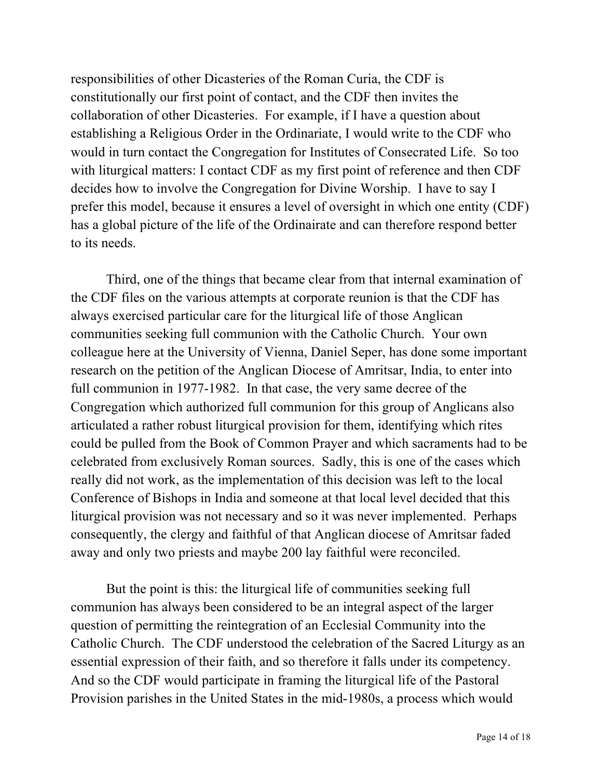responsibilities of other Dicasteries of the Roman Curia, the CDF is constitutionally our first point of contact, and the CDF then invites the collaboration of other Dicasteries. For example, if I have a question about establishing a Religious Order in the Ordinariate, I would write to the CDF who would in turn contact the Congregation for Institutes of Consecrated Life. So too with liturgical matters: I contact CDF as my first point of reference and then CDF decides how to involve the Congregation for Divine Worship. I have to say I prefer this model, because it ensures a level of oversight in which one entity (CDF) has a global picture of the life of the Ordinairate and can therefore respond better to its needs.

Third, one of the things that became clear from that internal examination of the CDF files on the various attempts at corporate reunion is that the CDF has always exercised particular care for the liturgical life of those Anglican communities seeking full communion with the Catholic Church. Your own colleague here at the University of Vienna, Daniel Seper, has done some important research on the petition of the Anglican Diocese of Amritsar, India, to enter into full communion in 1977-1982. In that case, the very same decree of the Congregation which authorized full communion for this group of Anglicans also articulated a rather robust liturgical provision for them, identifying which rites could be pulled from the Book of Common Prayer and which sacraments had to be celebrated from exclusively Roman sources. Sadly, this is one of the cases which really did not work, as the implementation of this decision was left to the local Conference of Bishops in India and someone at that local level decided that this liturgical provision was not necessary and so it was never implemented. Perhaps consequently, the clergy and faithful of that Anglican diocese of Amritsar faded away and only two priests and maybe 200 lay faithful were reconciled.

But the point is this: the liturgical life of communities seeking full communion has always been considered to be an integral aspect of the larger question of permitting the reintegration of an Ecclesial Community into the Catholic Church. The CDF understood the celebration of the Sacred Liturgy as an essential expression of their faith, and so therefore it falls under its competency. And so the CDF would participate in framing the liturgical life of the Pastoral Provision parishes in the United States in the mid-1980s, a process which would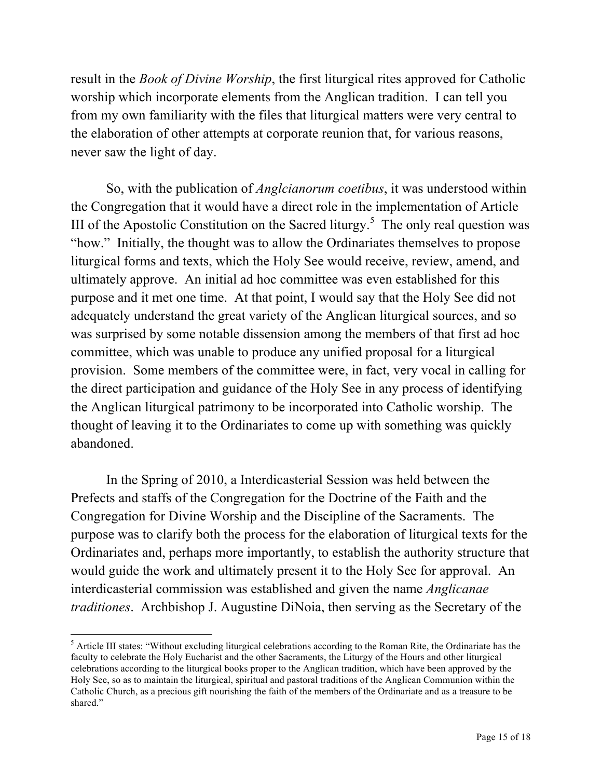result in the *Book of Divine Worship*, the first liturgical rites approved for Catholic worship which incorporate elements from the Anglican tradition. I can tell you from my own familiarity with the files that liturgical matters were very central to the elaboration of other attempts at corporate reunion that, for various reasons, never saw the light of day.

So, with the publication of *Anglcianorum coetibus*, it was understood within the Congregation that it would have a direct role in the implementation of Article III of the Apostolic Constitution on the Sacred liturgy.<sup>5</sup> The only real question was "how." Initially, the thought was to allow the Ordinariates themselves to propose liturgical forms and texts, which the Holy See would receive, review, amend, and ultimately approve. An initial ad hoc committee was even established for this purpose and it met one time. At that point, I would say that the Holy See did not adequately understand the great variety of the Anglican liturgical sources, and so was surprised by some notable dissension among the members of that first ad hoc committee, which was unable to produce any unified proposal for a liturgical provision. Some members of the committee were, in fact, very vocal in calling for the direct participation and guidance of the Holy See in any process of identifying the Anglican liturgical patrimony to be incorporated into Catholic worship. The thought of leaving it to the Ordinariates to come up with something was quickly abandoned.

In the Spring of 2010, a Interdicasterial Session was held between the Prefects and staffs of the Congregation for the Doctrine of the Faith and the Congregation for Divine Worship and the Discipline of the Sacraments. The purpose was to clarify both the process for the elaboration of liturgical texts for the Ordinariates and, perhaps more importantly, to establish the authority structure that would guide the work and ultimately present it to the Holy See for approval. An interdicasterial commission was established and given the name *Anglicanae traditiones*. Archbishop J. Augustine DiNoia, then serving as the Secretary of the

 

 $<sup>5</sup>$  Article III states: "Without excluding liturgical celebrations according to the Roman Rite, the Ordinariate has the</sup> faculty to celebrate the Holy Eucharist and the other Sacraments, the Liturgy of the Hours and other liturgical celebrations according to the liturgical books proper to the Anglican tradition, which have been approved by the Holy See, so as to maintain the liturgical, spiritual and pastoral traditions of the Anglican Communion within the Catholic Church, as a precious gift nourishing the faith of the members of the Ordinariate and as a treasure to be shared."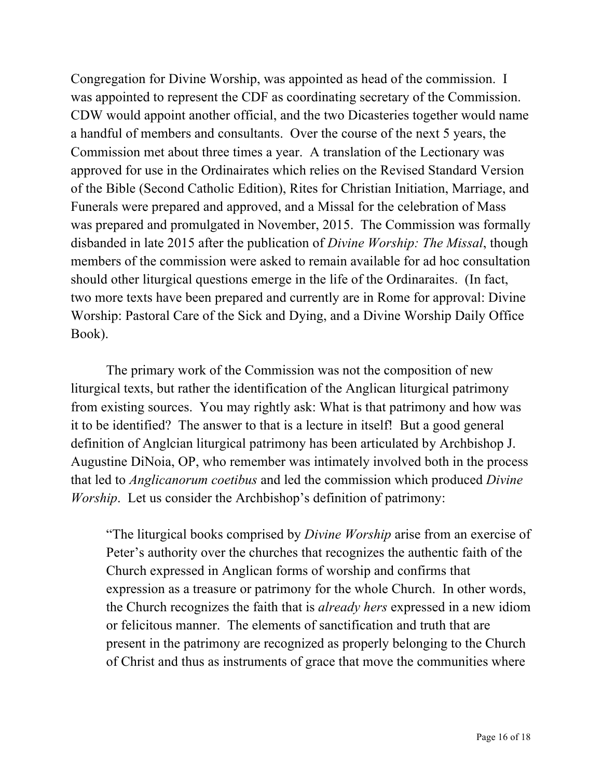Congregation for Divine Worship, was appointed as head of the commission. I was appointed to represent the CDF as coordinating secretary of the Commission. CDW would appoint another official, and the two Dicasteries together would name a handful of members and consultants. Over the course of the next 5 years, the Commission met about three times a year. A translation of the Lectionary was approved for use in the Ordinairates which relies on the Revised Standard Version of the Bible (Second Catholic Edition), Rites for Christian Initiation, Marriage, and Funerals were prepared and approved, and a Missal for the celebration of Mass was prepared and promulgated in November, 2015. The Commission was formally disbanded in late 2015 after the publication of *Divine Worship: The Missal*, though members of the commission were asked to remain available for ad hoc consultation should other liturgical questions emerge in the life of the Ordinaraites. (In fact, two more texts have been prepared and currently are in Rome for approval: Divine Worship: Pastoral Care of the Sick and Dying, and a Divine Worship Daily Office Book).

The primary work of the Commission was not the composition of new liturgical texts, but rather the identification of the Anglican liturgical patrimony from existing sources. You may rightly ask: What is that patrimony and how was it to be identified? The answer to that is a lecture in itself! But a good general definition of Anglcian liturgical patrimony has been articulated by Archbishop J. Augustine DiNoia, OP, who remember was intimately involved both in the process that led to *Anglicanorum coetibus* and led the commission which produced *Divine Worship*. Let us consider the Archbishop's definition of patrimony:

"The liturgical books comprised by *Divine Worship* arise from an exercise of Peter's authority over the churches that recognizes the authentic faith of the Church expressed in Anglican forms of worship and confirms that expression as a treasure or patrimony for the whole Church. In other words, the Church recognizes the faith that is *already hers* expressed in a new idiom or felicitous manner. The elements of sanctification and truth that are present in the patrimony are recognized as properly belonging to the Church of Christ and thus as instruments of grace that move the communities where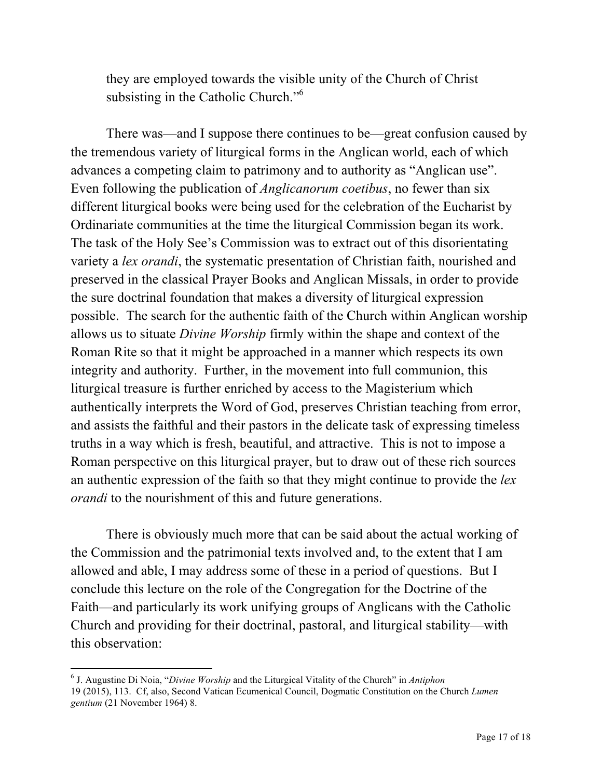they are employed towards the visible unity of the Church of Christ subsisting in the Catholic Church."<sup>6</sup>

There was—and I suppose there continues to be—great confusion caused by the tremendous variety of liturgical forms in the Anglican world, each of which advances a competing claim to patrimony and to authority as "Anglican use". Even following the publication of *Anglicanorum coetibus*, no fewer than six different liturgical books were being used for the celebration of the Eucharist by Ordinariate communities at the time the liturgical Commission began its work. The task of the Holy See's Commission was to extract out of this disorientating variety a *lex orandi*, the systematic presentation of Christian faith, nourished and preserved in the classical Prayer Books and Anglican Missals, in order to provide the sure doctrinal foundation that makes a diversity of liturgical expression possible. The search for the authentic faith of the Church within Anglican worship allows us to situate *Divine Worship* firmly within the shape and context of the Roman Rite so that it might be approached in a manner which respects its own integrity and authority. Further, in the movement into full communion, this liturgical treasure is further enriched by access to the Magisterium which authentically interprets the Word of God, preserves Christian teaching from error, and assists the faithful and their pastors in the delicate task of expressing timeless truths in a way which is fresh, beautiful, and attractive. This is not to impose a Roman perspective on this liturgical prayer, but to draw out of these rich sources an authentic expression of the faith so that they might continue to provide the *lex orandi* to the nourishment of this and future generations.

There is obviously much more that can be said about the actual working of the Commission and the patrimonial texts involved and, to the extent that I am allowed and able, I may address some of these in a period of questions. But I conclude this lecture on the role of the Congregation for the Doctrine of the Faith—and particularly its work unifying groups of Anglicans with the Catholic Church and providing for their doctrinal, pastoral, and liturgical stability—with this observation:

 <sup>6</sup> J. Augustine Di Noia, "*Divine Worship* and the Liturgical Vitality of the Church" in *Antiphon*  19 (2015), 113. Cf, also, Second Vatican Ecumenical Council, Dogmatic Constitution on the Church *Lumen gentium* (21 November 1964) 8.